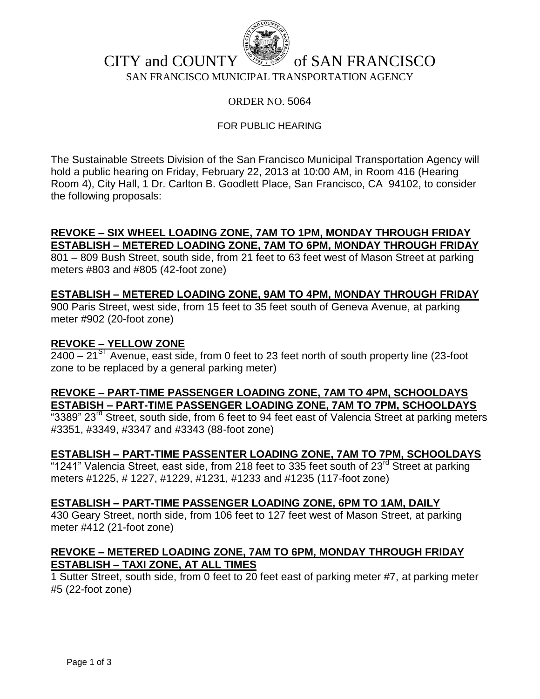

# CITY and COUNTY  $\mathbb{R}^n$  of SAN FRANCISCO SAN FRANCISCO MUNICIPAL TRANSPORTATION AGENCY

### ORDER NO. 5064

### FOR PUBLIC HEARING

The Sustainable Streets Division of the San Francisco Municipal Transportation Agency will hold a public hearing on Friday, February 22, 2013 at 10:00 AM, in Room 416 (Hearing Room 4), City Hall, 1 Dr. Carlton B. Goodlett Place, San Francisco, CA 94102, to consider the following proposals:

### **REVOKE – SIX WHEEL LOADING ZONE, 7AM TO 1PM, MONDAY THROUGH FRIDAY ESTABLISH – METERED LOADING ZONE, 7AM TO 6PM, MONDAY THROUGH FRIDAY**

801 – 809 Bush Street, south side, from 21 feet to 63 feet west of Mason Street at parking meters #803 and #805 (42-foot zone)

## **ESTABLISH – METERED LOADING ZONE, 9AM TO 4PM, MONDAY THROUGH FRIDAY**

900 Paris Street, west side, from 15 feet to 35 feet south of Geneva Avenue, at parking meter #902 (20-foot zone)

### **REVOKE – YELLOW ZONE**

 $2400 - 21<sup>S1</sup>$  Avenue, east side, from 0 feet to 23 feet north of south property line (23-foot zone to be replaced by a general parking meter)

# **REVOKE – PART-TIME PASSENGER LOADING ZONE, 7AM TO 4PM, SCHOOLDAYS ESTABISH – PART-TIME PASSENGER LOADING ZONE, 7AM TO 7PM, SCHOOLDAYS**

"3389" 23<sup>rd</sup> Street, south side, from 6 feet to 94 feet east of Valencia Street at parking meters #3351, #3349, #3347 and #3343 (88-foot zone)

## **ESTABLISH – PART-TIME PASSENTER LOADING ZONE, 7AM TO 7PM, SCHOOLDAYS**

"1241" Valencia Street, east side, from 218 feet to 335 feet south of 23<sup>rd</sup> Street at parking meters #1225, # 1227, #1229, #1231, #1233 and #1235 (117-foot zone)

#### **ESTABLISH – PART-TIME PASSENGER LOADING ZONE, 6PM TO 1AM, DAILY**

430 Geary Street, north side, from 106 feet to 127 feet west of Mason Street, at parking meter #412 (21-foot zone)

## **REVOKE – METERED LOADING ZONE, 7AM TO 6PM, MONDAY THROUGH FRIDAY ESTABLISH – TAXI ZONE, AT ALL TIMES**

1 Sutter Street, south side, from 0 feet to 20 feet east of parking meter #7, at parking meter #5 (22-foot zone)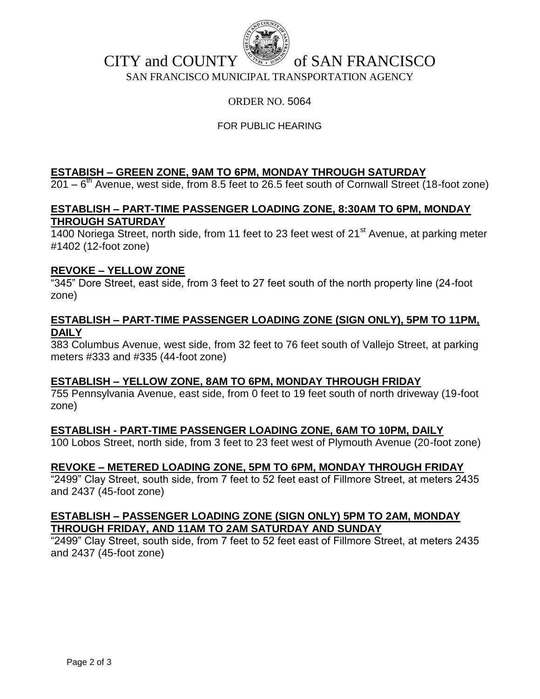

# CITY and COUNTY  $\mathbb{R}^n$  of SAN FRANCISCO SAN FRANCISCO MUNICIPAL TRANSPORTATION AGENCY

# ORDER NO. 5064

# FOR PUBLIC HEARING

# **ESTABISH – GREEN ZONE, 9AM TO 6PM, MONDAY THROUGH SATURDAY**

 $201 - 6$ <sup>th</sup> Avenue, west side, from 8.5 feet to 26.5 feet south of Cornwall Street (18-foot zone)

# **ESTABLISH – PART-TIME PASSENGER LOADING ZONE, 8:30AM TO 6PM, MONDAY THROUGH SATURDAY**

1400 Noriega Street, north side, from 11 feet to 23 feet west of  $21<sup>st</sup>$  Avenue, at parking meter #1402 (12-foot zone)

#### **REVOKE – YELLOW ZONE**

"345" Dore Street, east side, from 3 feet to 27 feet south of the north property line (24-foot zone)

#### **ESTABLISH – PART-TIME PASSENGER LOADING ZONE (SIGN ONLY), 5PM TO 11PM, DAILY**

383 Columbus Avenue, west side, from 32 feet to 76 feet south of Vallejo Street, at parking meters #333 and #335 (44-foot zone)

#### **ESTABLISH – YELLOW ZONE, 8AM TO 6PM, MONDAY THROUGH FRIDAY**

755 Pennsylvania Avenue, east side, from 0 feet to 19 feet south of north driveway (19-foot zone)

#### **ESTABLISH - PART-TIME PASSENGER LOADING ZONE, 6AM TO 10PM, DAILY**

100 Lobos Street, north side, from 3 feet to 23 feet west of Plymouth Avenue (20-foot zone)

## **REVOKE – METERED LOADING ZONE, 5PM TO 6PM, MONDAY THROUGH FRIDAY**

"2499" Clay Street, south side, from 7 feet to 52 feet east of Fillmore Street, at meters 2435 and 2437 (45-foot zone)

### **ESTABLISH – PASSENGER LOADING ZONE (SIGN ONLY) 5PM TO 2AM, MONDAY THROUGH FRIDAY, AND 11AM TO 2AM SATURDAY AND SUNDAY**

"2499" Clay Street, south side, from 7 feet to 52 feet east of Fillmore Street, at meters 2435 and 2437 (45-foot zone)